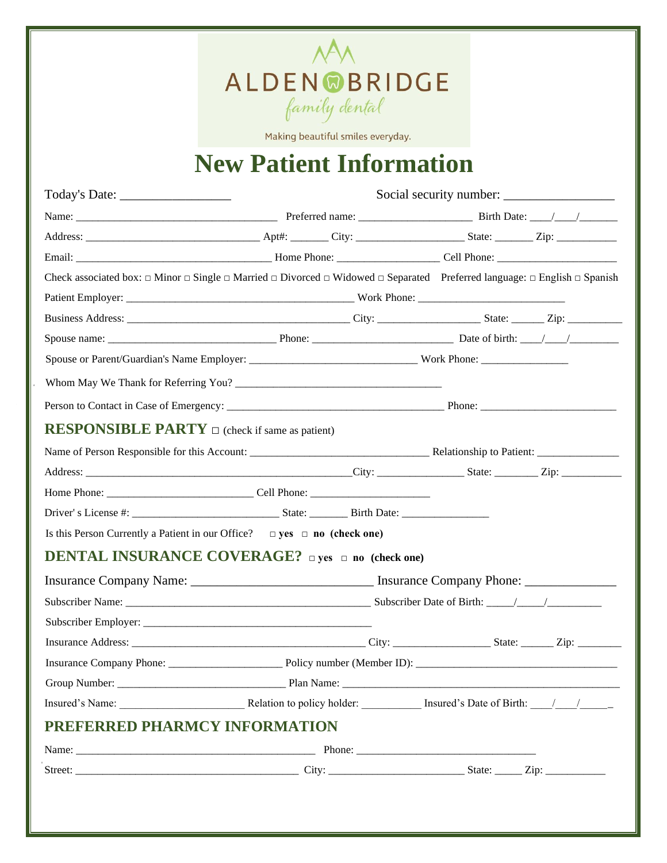

Making beautiful smiles everyday.

# **New Patient Information**

|                                                            | Check associated box: $\Box$ Minor $\Box$ Single $\Box$ Married $\Box$ Divorced $\Box$ Widowed $\Box$ Separated Preferred language: $\Box$ English $\Box$ Spanish |  |  |  |
|------------------------------------------------------------|-------------------------------------------------------------------------------------------------------------------------------------------------------------------|--|--|--|
|                                                            |                                                                                                                                                                   |  |  |  |
|                                                            |                                                                                                                                                                   |  |  |  |
|                                                            |                                                                                                                                                                   |  |  |  |
|                                                            |                                                                                                                                                                   |  |  |  |
|                                                            |                                                                                                                                                                   |  |  |  |
|                                                            |                                                                                                                                                                   |  |  |  |
| <b>RESPONSIBLE PARTY</b> $\Box$ (check if same as patient) |                                                                                                                                                                   |  |  |  |
|                                                            |                                                                                                                                                                   |  |  |  |
|                                                            |                                                                                                                                                                   |  |  |  |
|                                                            |                                                                                                                                                                   |  |  |  |
|                                                            |                                                                                                                                                                   |  |  |  |
|                                                            | Is this Person Currently a Patient in our Office? $\Box$ yes $\Box$ no (check one)                                                                                |  |  |  |
|                                                            | <b>DENTAL INSURANCE COVERAGE?</b> $\Box$ yes $\Box$ no (check one)                                                                                                |  |  |  |
|                                                            | Insurance Company Name: ___________________________________ Insurance Company Phone: _______________                                                              |  |  |  |
|                                                            |                                                                                                                                                                   |  |  |  |
|                                                            |                                                                                                                                                                   |  |  |  |
|                                                            |                                                                                                                                                                   |  |  |  |
|                                                            |                                                                                                                                                                   |  |  |  |
|                                                            |                                                                                                                                                                   |  |  |  |
|                                                            |                                                                                                                                                                   |  |  |  |
| PREFERRED PHARMCY INFORMATION                              |                                                                                                                                                                   |  |  |  |
|                                                            |                                                                                                                                                                   |  |  |  |
|                                                            |                                                                                                                                                                   |  |  |  |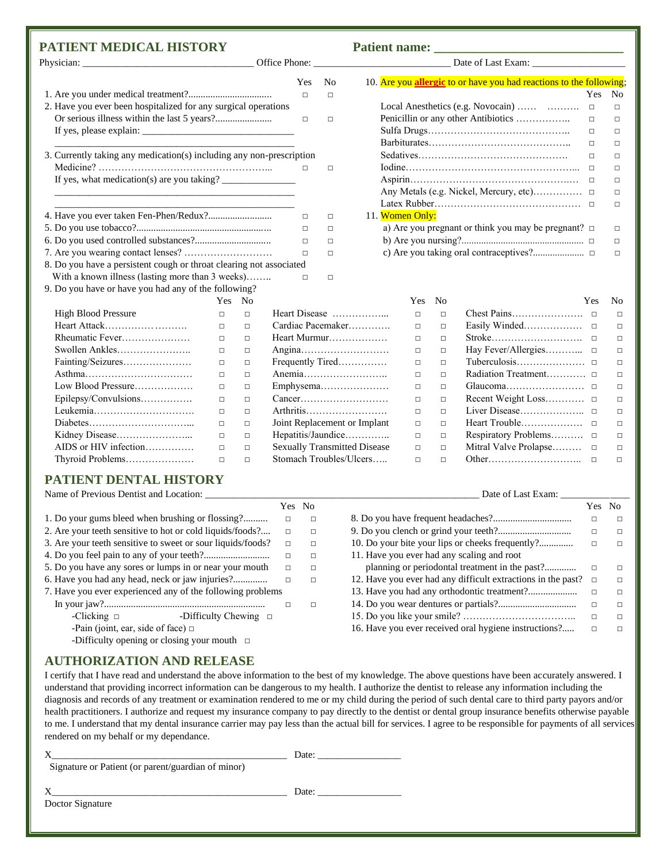### **PATIENT MEDICAL HISTORY Patient name: \_\_\_\_\_\_\_\_\_\_\_\_\_\_\_\_\_\_\_\_\_\_\_\_\_\_\_\_\_**

|                                                                      |        |        | Yes               | N <sub>0</sub> |                 |                | 10. Are you allergic to or have you had reactions to the following; |            |                |
|----------------------------------------------------------------------|--------|--------|-------------------|----------------|-----------------|----------------|---------------------------------------------------------------------|------------|----------------|
|                                                                      |        |        | П                 | п              |                 |                |                                                                     | <b>Yes</b> | No             |
| 2. Have you ever been hospitalized for any surgical operations       |        |        |                   |                |                 |                | Local Anesthetics (e.g. Novocain)                                   | $\Box$     | $\Box$         |
|                                                                      |        |        | п                 | $\Box$         |                 |                |                                                                     | $\Box$     | $\Box$         |
|                                                                      |        |        |                   |                |                 |                |                                                                     | $\Box$     | $\Box$         |
|                                                                      |        |        |                   |                |                 |                |                                                                     | $\Box$     | п              |
| 3. Currently taking any medication(s) including any non-prescription |        |        |                   |                |                 |                |                                                                     | $\Box$     | п              |
|                                                                      |        |        | п                 | $\Box$         |                 |                |                                                                     | $\Box$     | п              |
|                                                                      |        |        |                   |                |                 |                |                                                                     |            | П              |
|                                                                      |        |        |                   |                |                 |                |                                                                     |            | П              |
|                                                                      |        |        |                   |                |                 |                |                                                                     |            | П              |
|                                                                      |        |        | □                 | $\Box$         | 11. Women Only: |                |                                                                     |            |                |
|                                                                      |        |        | $\Box$            | П              |                 |                | a) Are you pregnant or think you may be pregnant? $\Box$            |            | п              |
|                                                                      |        |        | $\Box$            | П              |                 |                |                                                                     |            | $\Box$         |
|                                                                      |        |        | $\Box$            | П              |                 |                |                                                                     |            | п              |
| 8. Do you have a persistent cough or throat clearing not associated  |        |        |                   |                |                 |                |                                                                     |            |                |
| With a known illness (lasting more than 3 weeks)                     |        |        | п                 | $\Box$         |                 |                |                                                                     |            |                |
| 9. Do you have or have you had any of the following?                 |        |        |                   |                |                 |                |                                                                     |            |                |
|                                                                      | Yes.   | No     |                   |                | Yes             | N <sub>0</sub> |                                                                     | Yes        | N <sub>0</sub> |
| <b>High Blood Pressure</b>                                           | □      | $\Box$ | Heart Disease     |                | □               | $\Box$         |                                                                     |            | $\Box$         |
|                                                                      | $\Box$ | $\Box$ | Cardiac Pacemaker |                | □               | $\Box$         |                                                                     |            | $\Box$         |
| Rheumatic Fever                                                      | $\Box$ | $\Box$ | Heart Murmur      |                | □               | $\Box$         |                                                                     |            | $\Box$         |
| Swollen Ankles                                                       | $\Box$ | $\Box$ |                   |                | $\Box$          | $\Box$         |                                                                     |            | $\Box$         |
| Fainting/Seizures                                                    | $\Box$ | $\Box$ | Frequently Tired  |                | $\Box$          | $\Box$         |                                                                     |            | $\Box$         |

| 10. Are you allergic to or have you had reactions to the following. |            |    |
|---------------------------------------------------------------------|------------|----|
|                                                                     | <b>Yes</b> | No |
|                                                                     | п          | п  |
| Penicillin or any other Antibiotics                                 | п          | п  |
|                                                                     | п          | п  |
|                                                                     | п          | п  |
|                                                                     | п          | п  |
|                                                                     | п          | п  |
|                                                                     | п          | п  |
| Any Metals (e.g. Nickel, Mercury, etc)                              | п          | п  |
|                                                                     | п          | п  |
| 11. Women Only:                                                     |            |    |
| a) Are you pregnant or think you may be pregnant? $\Box$            |            |    |
|                                                                     |            | п  |
|                                                                     |            | п  |

|                            | Yes.   | N <sub>0</sub> |                                     | Yes.   | N <sub>0</sub> | Yes.                  | N <sub>0</sub> |
|----------------------------|--------|----------------|-------------------------------------|--------|----------------|-----------------------|----------------|
| <b>High Blood Pressure</b> | П      | п              | Heart Disease                       | П      | $\Box$         |                       | п              |
| Heart Attack               | $\Box$ | $\Box$         | Cardiac Pacemaker                   | $\Box$ | $\Box$         |                       | $\Box$         |
| Rheumatic Fever            | $\Box$ | $\Box$         | Heart Murmur                        | $\Box$ | $\Box$         |                       | $\Box$         |
|                            | $\Box$ | п              |                                     | $\Box$ | $\Box$         |                       | $\Box$         |
| Fainting/Seizures          | $\Box$ | $\Box$         | Frequently Tired                    | $\Box$ | $\Box$         |                       | $\Box$         |
|                            | $\Box$ | $\Box$         |                                     | $\Box$ | $\Box$         |                       | П.             |
| Low Blood Pressure         | $\Box$ | □              |                                     | □      | $\Box$         |                       | $\Box$         |
| Epilepsy/Convulsions       | $\Box$ | $\Box$         |                                     | $\Box$ | $\Box$         |                       | $\Box$         |
| Leukemia                   | $\Box$ | $\Box$         | Arthritis                           | $\Box$ | $\Box$         |                       | $\Box$         |
|                            | $\Box$ | П              | Joint Replacement or Implant        | $\Box$ | $\Box$         |                       | $\Box$         |
|                            | $\Box$ | $\Box$         | Hepatitis/Jaundice                  | $\Box$ | $\Box$         |                       | $\Box$         |
| AIDS or HIV infection      | $\Box$ | $\Box$         | <b>Sexually Transmitted Disease</b> | $\Box$ | $\Box$         | Mitral Valve Prolapse | $\Box$         |
| Thyroid Problems           | $\Box$ | п              | Stomach Troubles/Ulcers             | П      | $\Box$         |                       | п              |
|                            |        |                |                                     |        |                |                       |                |

### **PATIENT DENTAL HISTORY**

Name of Previous Dentist and Location: \_\_\_\_\_\_\_\_\_\_\_\_\_\_\_\_\_\_\_\_\_\_\_\_\_\_\_\_\_\_\_\_\_\_\_\_\_\_\_\_\_\_\_\_\_\_\_\_\_\_\_\_\_\_\_\_ Date of Last Exam: \_\_\_\_\_\_\_\_\_\_\_\_\_\_

|                                                             |                            |        | Yes No |                                                              | Yes No |        |
|-------------------------------------------------------------|----------------------------|--------|--------|--------------------------------------------------------------|--------|--------|
| 1. Do your gums bleed when brushing or flossing?            |                            | $\Box$ | $\Box$ |                                                              | □      | Л      |
| 2. Are your teeth sensitive to hot or cold liquids/foods?   |                            | $\Box$ | $\Box$ |                                                              | □      | □      |
| 3. Are your teeth sensitive to sweet or sour liquids/foods? |                            | $\Box$ | $\Box$ |                                                              | □      | п      |
|                                                             |                            | $\Box$ | $\Box$ | 11. Have you ever had any scaling and root                   |        |        |
| 5. Do you have any sores or lumps in or near your mouth     |                            | $\Box$ | $\Box$ | planning or periodontal treatment in the past?               | □      | п      |
| 6. Have you had any head, neck or jaw injuries?             |                            | $\Box$ | $\Box$ | 12. Have you ever had any difficult extractions in the past? | □      |        |
| 7. Have you ever experienced any of the following problems  |                            |        |        |                                                              | □      | п      |
|                                                             |                            |        | $\Box$ |                                                              | □      | $\Box$ |
| -Clicking $\Box$                                            | -Difficulty Chewing $\Box$ |        |        |                                                              | □      | п      |
| -Pain (joint, ear, side of face) $\Box$                     |                            |        |        | 16. Have you ever received oral hygiene instructions?        | □      |        |
| -Difficulty opening or closing your mouth $\Box$            |                            |        |        |                                                              |        |        |

#### **AUTHORIZATION AND RELEASE**

I certify that I have read and understand the above information to the best of my knowledge. The above questions have been accurately answered. I understand that providing incorrect information can be dangerous to my health. I authorize the dentist to release any information including the diagnosis and records of any treatment or examination rendered to me or my child during the period of such dental care to third party payors and/or health practitioners. I authorize and request my insurance company to pay directly to the dentist or dental group insurance benefits otherwise payable to me. I understand that my dental insurance carrier may pay less than the actual bill for services. I agree to be responsible for payments of all services rendered on my behalf or my dependance.

|                                                    | Date: |  |
|----------------------------------------------------|-------|--|
| Signature or Patient (or parent/guardian of minor) |       |  |
|                                                    | Date: |  |
| Doctor Signature                                   |       |  |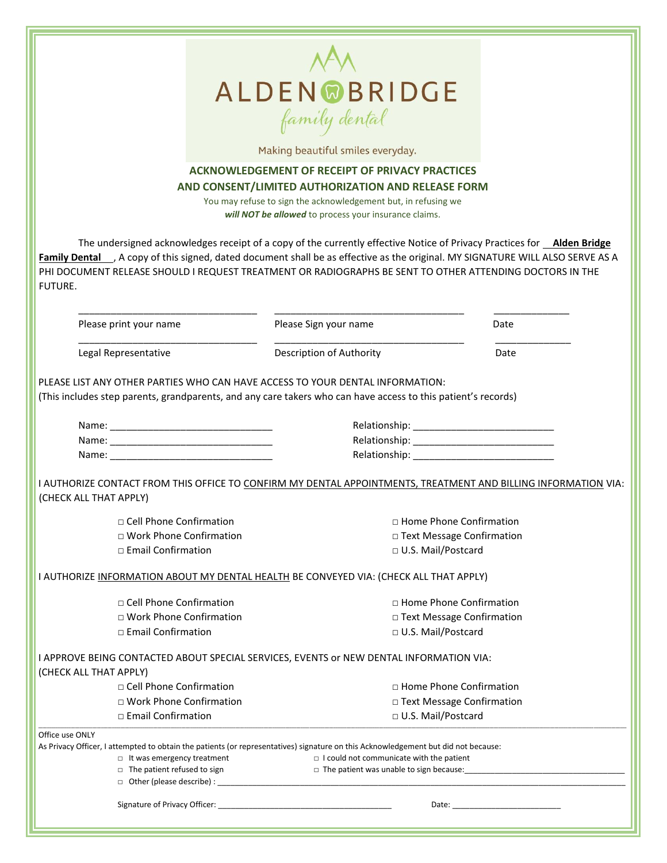

Making beautiful smiles everyday.

#### **ACKNOWLEDGEMENT OF RECEIPT OF PRIVACY PRACTICES AND CONSENT/LIMITED AUTHORIZATION AND RELEASE FORM**

You may refuse to sign the acknowledgement but, in refusing we *will NOT be allowed* to process your insurance claims.

The undersigned acknowledges receipt of a copy of the currently effective Notice of Privacy Practices for **Alden Bridge**  Family Dental ..., A copy of this signed, dated document shall be as effective as the original. MY SIGNATURE WILL ALSO SERVE AS A PHI DOCUMENT RELEASE SHOULD I REQUEST TREATMENT OR RADIOGRAPHS BE SENT TO OTHER ATTENDING DOCTORS IN THE FUTURE.

| Please print your name                                                  | Please Sign your name                                                                                                              | Date                           |  |  |  |  |
|-------------------------------------------------------------------------|------------------------------------------------------------------------------------------------------------------------------------|--------------------------------|--|--|--|--|
| Legal Representative                                                    | Description of Authority                                                                                                           | Date                           |  |  |  |  |
|                                                                         | PLEASE LIST ANY OTHER PARTIES WHO CAN HAVE ACCESS TO YOUR DENTAL INFORMATION:                                                      |                                |  |  |  |  |
|                                                                         | (This includes step parents, grandparents, and any care takers who can have access to this patient's records)                      |                                |  |  |  |  |
|                                                                         |                                                                                                                                    |                                |  |  |  |  |
|                                                                         |                                                                                                                                    |                                |  |  |  |  |
|                                                                         |                                                                                                                                    |                                |  |  |  |  |
|                                                                         | I AUTHORIZE CONTACT FROM THIS OFFICE TO CONFIRM MY DENTAL APPOINTMENTS, TREATMENT AND BILLING INFORMATION VIA:                     |                                |  |  |  |  |
| (CHECK ALL THAT APPLY)                                                  |                                                                                                                                    |                                |  |  |  |  |
| □ Cell Phone Confirmation                                               |                                                                                                                                    | $\Box$ Home Phone Confirmation |  |  |  |  |
| $\Box$ Work Phone Confirmation                                          |                                                                                                                                    | □ Text Message Confirmation    |  |  |  |  |
| □ Email Confirmation                                                    |                                                                                                                                    | □ U.S. Mail/Postcard           |  |  |  |  |
|                                                                         | I AUTHORIZE INFORMATION ABOUT MY DENTAL HEALTH BE CONVEYED VIA: (CHECK ALL THAT APPLY)                                             |                                |  |  |  |  |
| □ Cell Phone Confirmation                                               |                                                                                                                                    | □ Home Phone Confirmation      |  |  |  |  |
| □ Work Phone Confirmation                                               |                                                                                                                                    | □ Text Message Confirmation    |  |  |  |  |
| $\Box$ Email Confirmation                                               | □ U.S. Mail/Postcard                                                                                                               |                                |  |  |  |  |
|                                                                         | I APPROVE BEING CONTACTED ABOUT SPECIAL SERVICES, EVENTS or NEW DENTAL INFORMATION VIA:                                            |                                |  |  |  |  |
| (CHECK ALL THAT APPLY)                                                  |                                                                                                                                    |                                |  |  |  |  |
| □ Cell Phone Confirmation                                               |                                                                                                                                    | $\Box$ Home Phone Confirmation |  |  |  |  |
| □ Work Phone Confirmation                                               |                                                                                                                                    | □ Text Message Confirmation    |  |  |  |  |
| □ Email Confirmation                                                    | □ U.S. Mail/Postcard                                                                                                               |                                |  |  |  |  |
| Office use ONLY                                                         |                                                                                                                                    |                                |  |  |  |  |
|                                                                         | As Privacy Officer, I attempted to obtain the patients (or representatives) signature on this Acknowledgement but did not because: |                                |  |  |  |  |
| $\Box$ It was emergency treatment<br>$\Box$ The patient refused to sign | $\Box$ I could not communicate with the patient<br>$\Box$ The patient was unable to sign because:                                  |                                |  |  |  |  |
|                                                                         |                                                                                                                                    |                                |  |  |  |  |
|                                                                         |                                                                                                                                    |                                |  |  |  |  |
|                                                                         |                                                                                                                                    |                                |  |  |  |  |